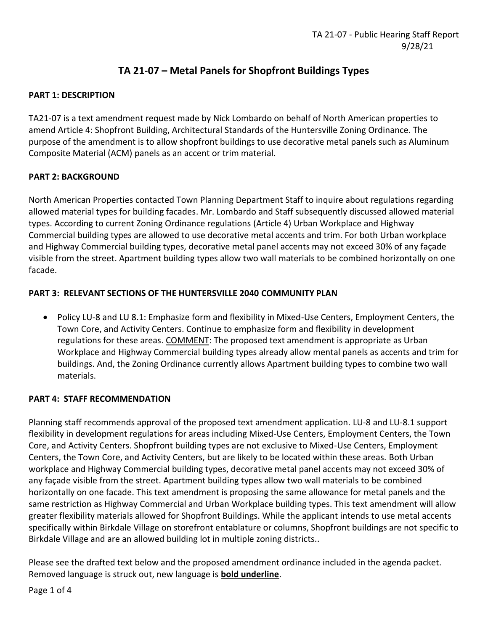# **TA 21-07 – Metal Panels for Shopfront Buildings Types**

## **PART 1: DESCRIPTION**

TA21-07 is a text amendment request made by Nick Lombardo on behalf of North American properties to amend Article 4: Shopfront Building, Architectural Standards of the Huntersville Zoning Ordinance. The purpose of the amendment is to allow shopfront buildings to use decorative metal panels such as Aluminum Composite Material (ACM) panels as an accent or trim material.

## **PART 2: BACKGROUND**

North American Properties contacted Town Planning Department Staff to inquire about regulations regarding allowed material types for building facades. Mr. Lombardo and Staff subsequently discussed allowed material types. According to current Zoning Ordinance regulations (Article 4) Urban Workplace and Highway Commercial building types are allowed to use decorative metal accents and trim. For both Urban workplace and Highway Commercial building types, decorative metal panel accents may not exceed 30% of any façade visible from the street. Apartment building types allow two wall materials to be combined horizontally on one facade.

## **PART 3: RELEVANT SECTIONS OF THE HUNTERSVILLE 2040 COMMUNITY PLAN**

• Policy LU-8 and LU 8.1: Emphasize form and flexibility in Mixed-Use Centers, Employment Centers, the Town Core, and Activity Centers. Continue to emphasize form and flexibility in development regulations for these areas. COMMENT: The proposed text amendment is appropriate as Urban Workplace and Highway Commercial building types already allow mental panels as accents and trim for buildings. And, the Zoning Ordinance currently allows Apartment building types to combine two wall materials.

#### **PART 4: STAFF RECOMMENDATION**

Planning staff recommends approval of the proposed text amendment application. LU-8 and LU-8.1 support flexibility in development regulations for areas including Mixed-Use Centers, Employment Centers, the Town Core, and Activity Centers. Shopfront building types are not exclusive to Mixed-Use Centers, Employment Centers, the Town Core, and Activity Centers, but are likely to be located within these areas. Both Urban workplace and Highway Commercial building types, decorative metal panel accents may not exceed 30% of any façade visible from the street. Apartment building types allow two wall materials to be combined horizontally on one facade. This text amendment is proposing the same allowance for metal panels and the same restriction as Highway Commercial and Urban Workplace building types. This text amendment will allow greater flexibility materials allowed for Shopfront Buildings. While the applicant intends to use metal accents specifically within Birkdale Village on storefront entablature or columns, Shopfront buildings are not specific to Birkdale Village and are an allowed building lot in multiple zoning districts..

Please see the drafted text below and the proposed amendment ordinance included in the agenda packet. Removed language is struck out, new language is **bold underline**.

Page 1 of 4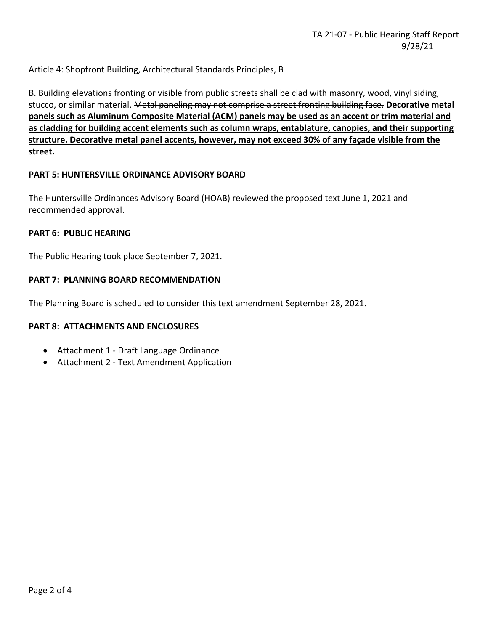## Article 4: Shopfront Building, Architectural Standards Principles, B

B. Building elevations fronting or visible from public streets shall be clad with masonry, wood, vinyl siding, stucco, or similar material. Metal paneling may not comprise a street fronting building face. **Decorative metal panels such as Aluminum Composite Material (ACM) panels may be used as an accent or trim material and as cladding for building accent elements such as column wraps, entablature, canopies, and their supporting structure. Decorative metal panel accents, however, may not exceed 30% of any façade visible from the street.**

#### **PART 5: HUNTERSVILLE ORDINANCE ADVISORY BOARD**

The Huntersville Ordinances Advisory Board (HOAB) reviewed the proposed text June 1, 2021 and recommended approval.

#### **PART 6: PUBLIC HEARING**

The Public Hearing took place September 7, 2021.

#### **PART 7: PLANNING BOARD RECOMMENDATION**

The Planning Board is scheduled to consider this text amendment September 28, 2021.

#### **PART 8: ATTACHMENTS AND ENCLOSURES**

- Attachment 1 Draft Language Ordinance
- Attachment 2 Text Amendment Application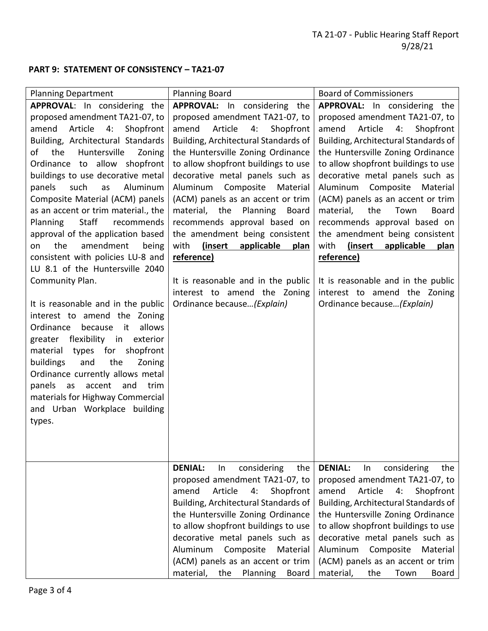## **PART 9: STATEMENT OF CONSISTENCY – TA21-07**

| <b>Planning Department</b>                                                                                                                                                                                                                                                                                                                                                                                                                                                                                                                                                                                                                                                                                                                                                                                                                                                                                                                                                  | <b>Planning Board</b>                                                                                                                                                                                                                                                                                                                                                                                                                                                                                                                                                                                | <b>Board of Commissioners</b>                                                                                                                                                                                                                                                                                                                                                                                                                                                                                                                                                                                           |
|-----------------------------------------------------------------------------------------------------------------------------------------------------------------------------------------------------------------------------------------------------------------------------------------------------------------------------------------------------------------------------------------------------------------------------------------------------------------------------------------------------------------------------------------------------------------------------------------------------------------------------------------------------------------------------------------------------------------------------------------------------------------------------------------------------------------------------------------------------------------------------------------------------------------------------------------------------------------------------|------------------------------------------------------------------------------------------------------------------------------------------------------------------------------------------------------------------------------------------------------------------------------------------------------------------------------------------------------------------------------------------------------------------------------------------------------------------------------------------------------------------------------------------------------------------------------------------------------|-------------------------------------------------------------------------------------------------------------------------------------------------------------------------------------------------------------------------------------------------------------------------------------------------------------------------------------------------------------------------------------------------------------------------------------------------------------------------------------------------------------------------------------------------------------------------------------------------------------------------|
|                                                                                                                                                                                                                                                                                                                                                                                                                                                                                                                                                                                                                                                                                                                                                                                                                                                                                                                                                                             |                                                                                                                                                                                                                                                                                                                                                                                                                                                                                                                                                                                                      |                                                                                                                                                                                                                                                                                                                                                                                                                                                                                                                                                                                                                         |
| APPROVAL: In considering the<br>proposed amendment TA21-07, to<br>4:<br>Shopfront<br>amend<br>Article<br>Building, Architectural Standards<br>of<br>Huntersville<br>the<br>Zoning<br>Ordinance to allow shopfront<br>buildings to use decorative metal<br>Aluminum<br>panels<br>such<br>as<br>Composite Material (ACM) panels<br>as an accent or trim material., the<br>Staff<br>recommends<br><b>Planning</b><br>approval of the application based<br>amendment<br>the<br>on<br>being<br>consistent with policies LU-8 and<br>LU 8.1 of the Huntersville 2040<br>Community Plan.<br>It is reasonable and in the public<br>interest to amend the Zoning<br>it<br>allows<br>Ordinance<br>because<br>greater flexibility in<br>exterior<br>types for<br>shopfront<br>material<br>buildings<br>and<br>the<br>Zoning<br>Ordinance currently allows metal<br>accent<br>panels<br>as<br>and<br>trim<br>materials for Highway Commercial<br>and Urban Workplace building<br>types. | APPROVAL: In considering the<br>proposed amendment TA21-07, to<br>Article<br>4:<br>Shopfront<br>amend<br>Building, Architectural Standards of<br>the Huntersville Zoning Ordinance<br>to allow shopfront buildings to use<br>decorative metal panels such as<br>Aluminum<br>Composite<br>Material<br>(ACM) panels as an accent or trim<br>material, the Planning Board<br>recommends approval based on<br>the amendment being consistent<br>(insert<br>applicable<br>with<br>plan<br>reference)<br>It is reasonable and in the public<br>interest to amend the Zoning<br>Ordinance because (Explain) | <b>APPROVAL:</b> In considering the<br>proposed amendment TA21-07, to<br>amend<br>Article<br>4:<br>Shopfront<br>Building, Architectural Standards of<br>the Huntersville Zoning Ordinance<br>to allow shopfront buildings to use<br>decorative metal panels such as<br>Composite<br>Aluminum<br>Material<br>(ACM) panels as an accent or trim<br>the<br>material,<br>Town<br><b>Board</b><br>recommends approval based on<br>the amendment being consistent<br>(insert<br>with<br>applicable<br>plan<br>reference)<br>It is reasonable and in the public<br>interest to amend the Zoning<br>Ordinance because (Explain) |
|                                                                                                                                                                                                                                                                                                                                                                                                                                                                                                                                                                                                                                                                                                                                                                                                                                                                                                                                                                             | <b>DENIAL:</b><br>considering<br>$\ln$<br>the<br>proposed amendment TA21-07, to<br>Article<br>amend<br>4:<br>Shopfront<br>Building, Architectural Standards of<br>the Huntersville Zoning Ordinance<br>to allow shopfront buildings to use<br>decorative metal panels such as<br>Aluminum<br>Composite<br>Material<br>(ACM) panels as an accent or trim<br>material, the Planning<br>Board                                                                                                                                                                                                           | <b>DENIAL:</b><br>considering<br>the<br>In<br>proposed amendment TA21-07, to<br>amend<br>Article<br>4:<br>Shopfront<br>Building, Architectural Standards of<br>the Huntersville Zoning Ordinance<br>to allow shopfront buildings to use<br>decorative metal panels such as<br>Composite<br>Aluminum<br>Material<br>(ACM) panels as an accent or trim<br>material,<br>the<br>Town<br>Board                                                                                                                                                                                                                               |